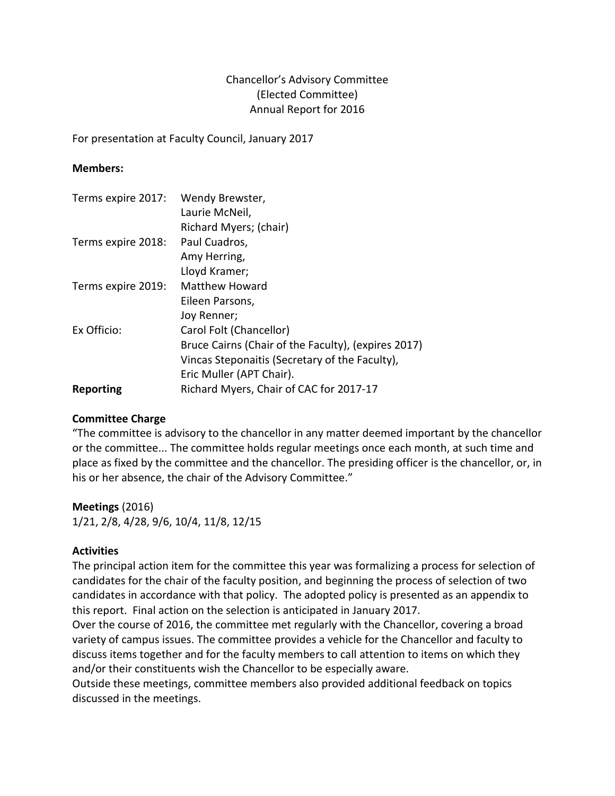# Chancellor's Advisory Committee (Elected Committee) Annual Report for 2016

For presentation at Faculty Council, January 2017

## **Members:**

| Terms expire 2017: | Wendy Brewster,<br>Laurie McNeil,                   |
|--------------------|-----------------------------------------------------|
|                    | Richard Myers; (chair)                              |
| Terms expire 2018: | Paul Cuadros,                                       |
|                    | Amy Herring,                                        |
|                    | Lloyd Kramer;                                       |
| Terms expire 2019: | <b>Matthew Howard</b>                               |
|                    | Eileen Parsons,                                     |
|                    | Joy Renner;                                         |
| Ex Officio:        | Carol Folt (Chancellor)                             |
|                    | Bruce Cairns (Chair of the Faculty), (expires 2017) |
|                    | Vincas Steponaitis (Secretary of the Faculty),      |
|                    | Eric Muller (APT Chair).                            |
| Reporting          | Richard Myers, Chair of CAC for 2017-17             |

## **Committee Charge**

"The committee is advisory to the chancellor in any matter deemed important by the chancellor or the committee... The committee holds regular meetings once each month, at such time and place as fixed by the committee and the chancellor. The presiding officer is the chancellor, or, in his or her absence, the chair of the Advisory Committee."

## **Meetings** (2016)

1/21, 2/8, 4/28, 9/6, 10/4, 11/8, 12/15

## **Activities**

The principal action item for the committee this year was formalizing a process for selection of candidates for the chair of the faculty position, and beginning the process of selection of two candidates in accordance with that policy. The adopted policy is presented as an appendix to this report. Final action on the selection is anticipated in January 2017.

Over the course of 2016, the committee met regularly with the Chancellor, covering a broad variety of campus issues. The committee provides a vehicle for the Chancellor and faculty to discuss items together and for the faculty members to call attention to items on which they and/or their constituents wish the Chancellor to be especially aware.

Outside these meetings, committee members also provided additional feedback on topics discussed in the meetings.